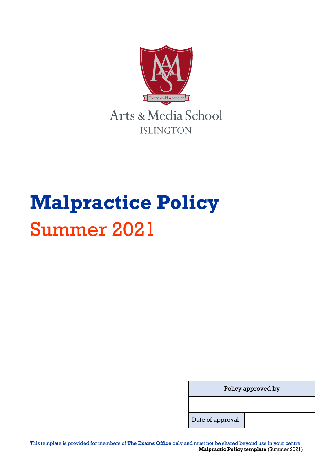

# **Malpractice Policy** Summer 2021

| Policy approved by |  |
|--------------------|--|
|                    |  |
| Date of approval   |  |

This template is provided for members of **The Exams Office** only and must not be shared beyond use in your centre **Malpractic Policy template** (Summer 2021)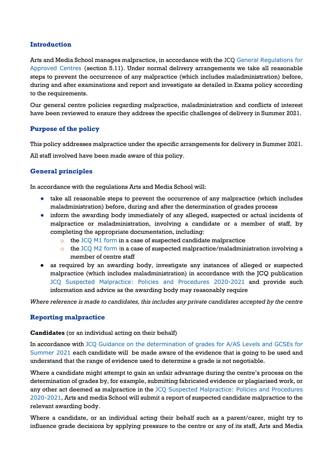## **Introduction**

Arts and Media School manages malpractice, in accordance with the JCQ General Regulations for Approved Centres (section 5.11). Under normal delivery arrangements we take all reasonable steps to prevent the occurrence of any malpractice (which includes maladministration) before, during and after examinations and report and investigate as detailed in Exams policy according to the requirements.

Our general centre policies regarding malpractice, maladministration and conflicts of interest have been reviewed to ensure they address the specific challenges of delivery in Summer 2021.

## **Purpose of the policy**

This policy addresses malpractice under the specific arrangements for delivery in Summer 2021.

All staff involved have been made aware of this policy.

## **General principles**

In accordance with the regulations Arts and Media School will:

- take all reasonable steps to prevent the occurrence of any malpractice (which includes maladministration) before, during and after the determination of grades process
- inform the awarding body immediately of any alleged, suspected or actual incidents of malpractice or maladministration, involving a candidate or a member of staff, by completing the appropriate documentation, including:
	- o the JCQ M1 form in a case of suspected candidate malpractice
	- o the JCQ M2 form in a case of suspected malpractice/maladministration involving a member of centre staff
- as required by an awarding body, investigate any instances of alleged or suspected malpractice (which includes maladministration) in accordance with the JCQ publication JCQ Suspected Malpractice: Policies and Procedures 2020-2021 and provide such information and advice as the awarding body may reasonably require

*Where reference is made to candidates, this includes any private candidates accepted by the centre*

#### **Reporting malpractice**

#### **Candidates** (or an individual acting on their behalf)

In accordance with JCQ Guidance on the determination of grades for A/AS Levels and GCSEs for Summer 2021 each candidate will be made aware of the evidence that is going to be used and understand that the range of evidence used to determine a grade is not negotiable.

Where a candidate might attempt to gain an unfair advantage during the centre's process on the determination of grades by, for example, submitting fabricated evidence or plagiarised work, or any other act deemed as malpractice in the JCQ Suspected Malpractice: Policies and Procedures 2020-2021, Arts and media School will submit a report of suspected candidate malpractice to the relevant awarding body.

Where a candidate, or an individual acting their behalf such as a parent/carer, might try to influence grade decisions by applying pressure to the centre or any of its staff, Arts and Media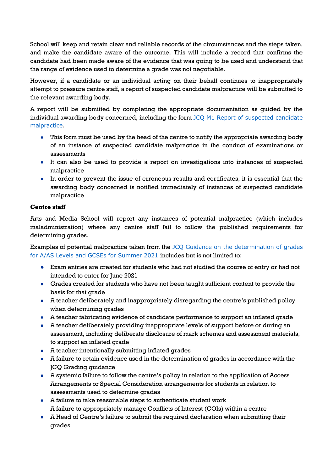School will keep and retain clear and reliable records of the circumstances and the steps taken, and make the candidate aware of the outcome. This will include a record that confirms the candidate had been made aware of the evidence that was going to be used and understand that the range of evidence used to determine a grade was not negotiable.

However, if a candidate or an individual acting on their behalf continues to inappropriately attempt to pressure centre staff, a report of suspected candidate malpractice will be submitted to the relevant awarding body.

A report will be submitted by completing the appropriate documentation as guided by the individual awarding body concerned, including the form JCQ M1 Report of suspected candidate malpractice.

- This form must be used by the head of the centre to notify the appropriate awarding body of an instance of suspected candidate malpractice in the conduct of examinations or assessments
- It can also be used to provide a report on investigations into instances of suspected malpractice
- In order to prevent the issue of erroneous results and certificates, it is essential that the awarding body concerned is notified immediately of instances of suspected candidate malpractice

#### **Centre staff**

Arts and Media School will report any instances of potential malpractice (which includes maladministration) where any centre staff fail to follow the published requirements for determining grades.

Examples of potential malpractice taken from the JCQ Guidance on the determination of grades for A/AS Levels and GCSEs for Summer 2021 includes but is not limited to:

- Exam entries are created for students who had not studied the course of entry or had not intended to enter for June 2021
- Grades created for students who have not been taught sufficient content to provide the basis for that grade
- A teacher deliberately and inappropriately disregarding the centre's published policy when determining grades
- A teacher fabricating evidence of candidate performance to support an inflated grade
- A teacher deliberately providing inappropriate levels of support before or during an assessment, including deliberate disclosure of mark schemes and assessment materials, to support an inflated grade
- A teacher intentionally submitting inflated grades
- A failure to retain evidence used in the determination of grades in accordance with the JCQ Grading guidance
- A systemic failure to follow the centre's policy in relation to the application of Access Arrangements or Special Consideration arrangements for students in relation to assessments used to determine grades
- A failure to take reasonable steps to authenticate student work A failure to appropriately manage Conflicts of Interest (COIs) within a centre
- A Head of Centre's failure to submit the required declaration when submitting their grades